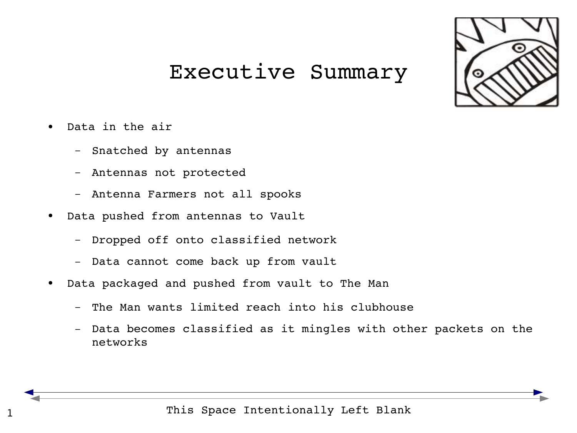

### Executive Summary

- Data in the air
	- Snatched by antennas
	- Antennas not protected
	- Antenna Farmers not all spooks
- Data pushed from antennas to Vault
	- Dropped off onto classified network
	- Data cannot come back up from vault
- Data packaged and pushed from vault to The Man
	- The Man wants limited reach into his clubhouse
	- Data becomes classified as it mingles with other packets on the networks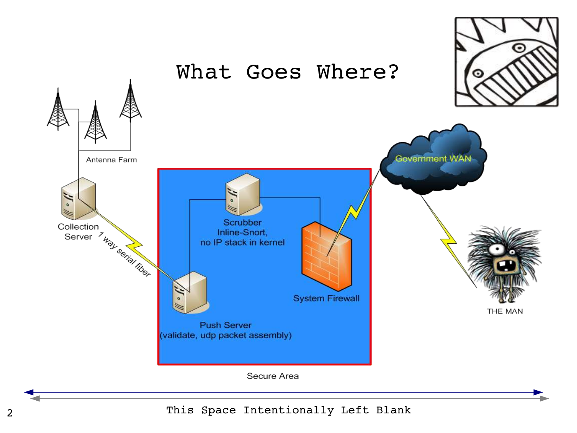

#### 2 This Space Intentionally Left Blank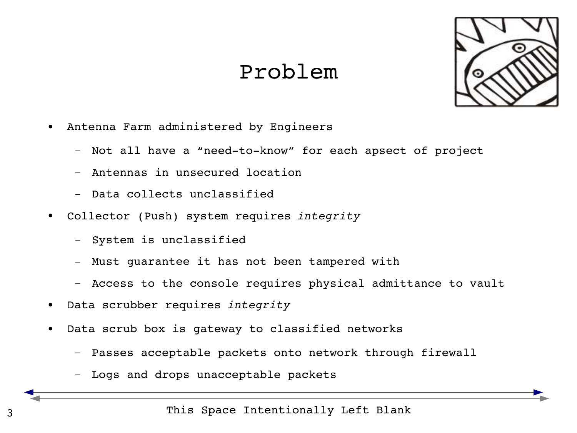### Problem



- Antenna Farm administered by Engineers
	- Not all have a "need-to-know" for each apsect of project
	- Antennas in unsecured location
	- Data collects unclassified
- Collector (Push) system requires *integrity*
	- System is unclassified
	- Must quarantee it has not been tampered with
	- Access to the console requires physical admittance to vault
- Data scrubber requires *integrity*
- Data scrub box is gateway to classified networks
	- Passes acceptable packets onto network through firewall
	- Logs and drops unacceptable packets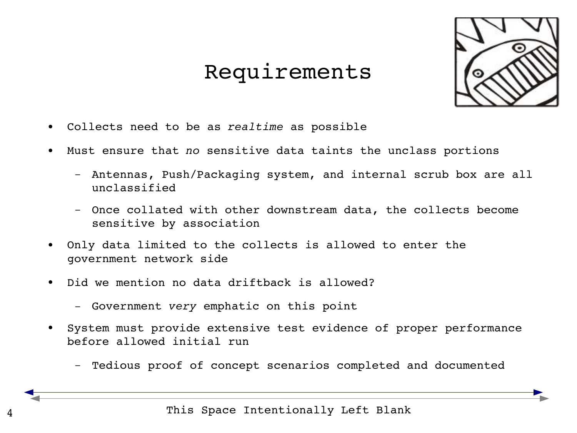# Requirements



- Collects need to be as *realtime* as possible
- Must ensure that *no* sensitive data taints the unclass portions
	- Antennas, Push/Packaging system, and internal scrub box are all unclassified
	- Once collated with other downstream data, the collects become sensitive by association
- Only data limited to the collects is allowed to enter the government network side
- Did we mention no data driftback is allowed?
	- Government *very* emphatic on this point
- System must provide extensive test evidence of proper performance before allowed initial run
	- Tedious proof of concept scenarios completed and documented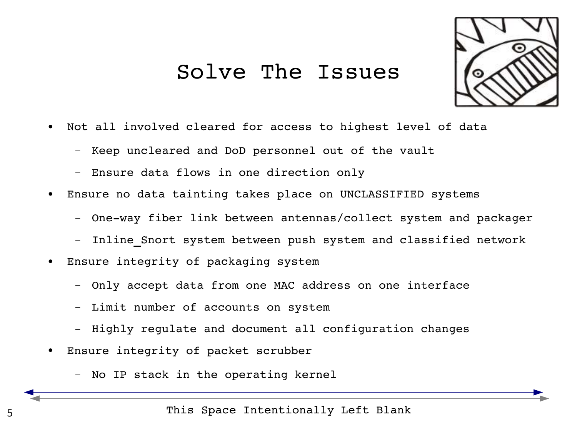#### Solve The Issues



- Not all involved cleared for access to highest level of data
	- Keep uncleared and DoD personnel out of the vault
	- Ensure data flows in one direction only
- Ensure no data tainting takes place on UNCLASSIFIED systems
	- One-way fiber link between antennas/collect system and packager
	- Inline Snort system between push system and classified network
- Ensure integrity of packaging system
	- Only accept data from one MAC address on one interface
	- Limit number of accounts on system
	- Highly regulate and document all configuration changes
- Ensure integrity of packet scrubber
	- No IP stack in the operating kernel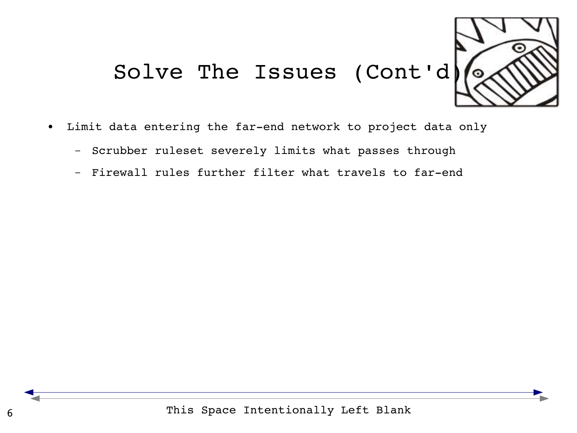# Solve The Issues (Cont'd)



- Limit data entering the far-end network to project data only
	- Scrubber ruleset severely limits what passes through
	- Firewall rules further filter what travels to far-end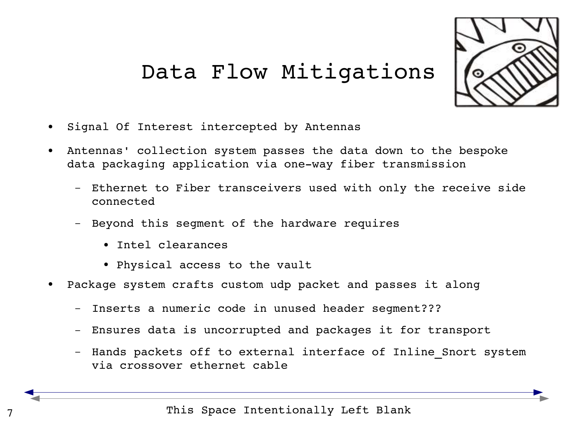# Data Flow Mitigations



- Signal Of Interest intercepted by Antennas
- Antennas' collection system passes the data down to the bespoke data packaging application via one-way fiber transmission
	- Ethernet to Fiber transceivers used with only the receive side connected
	- Beyond this segment of the hardware requires
		- Intel clearances
		- Physical access to the vault
- Package system crafts custom udp packet and passes it along
	- Inserts a numeric code in unused header segment???
	- Ensures data is uncorrupted and packages it for transport
	- Hands packets off to external interface of Inline Snort system via crossover ethernet cable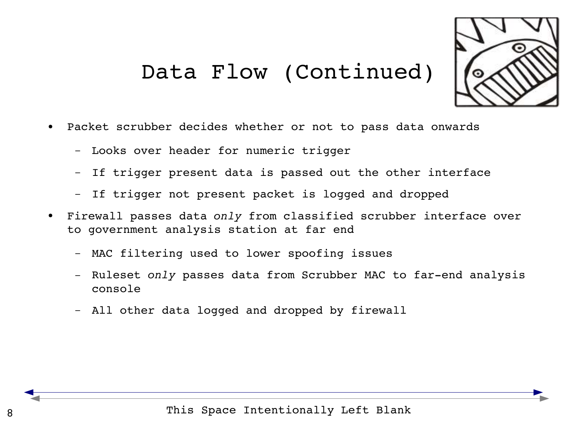### Data Flow (Continued)



- Packet scrubber decides whether or not to pass data onwards
	- Looks over header for numeric trigger
	- If trigger present data is passed out the other interface
	- If trigger not present packet is logged and dropped
- Firewall passes data *only* from classified scrubber interface over to government analysis station at far end
	- MAC filtering used to lower spoofing issues
	- Ruleset only passes data from Scrubber MAC to far-end analysis console
	- All other data logged and dropped by firewall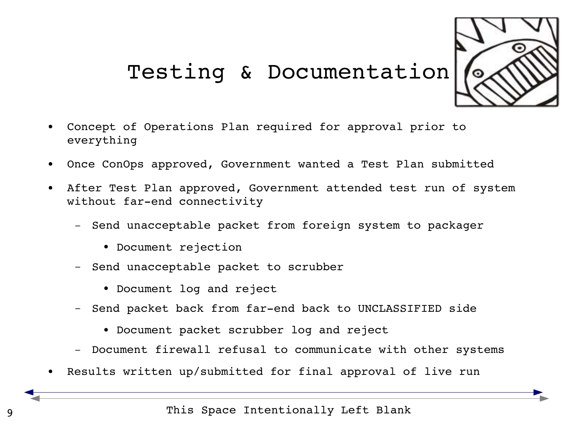# Testing & Documentation



- Concept of Operations Plan required for approval prior to everything
- Once ConOps approved, Government wanted a Test Plan submitted
- After Test Plan approved, Government attended test run of system without far-end connectivity
	- Send unacceptable packet from foreign system to packager
		- Document rejection
	- Send unacceptable packet to scrubber
		- Document log and reject
	- Send packet back from far-end back to UNCLASSIFIED side
		- Document packet scrubber log and reject
	- Document firewall refusal to communicate with other systems
- Results written up/submitted for final approval of live run